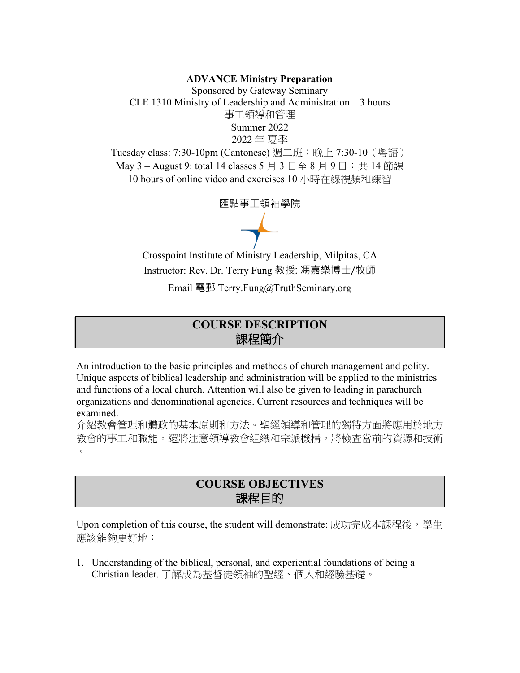#### **ADVANCE Ministry Preparation**

Sponsored by Gateway Seminary CLE 1310 Ministry of Leadership and Administration – 3 hours 事工領導和管理 Summer 2022 2022 年 夏季

Tuesday class: 7:30-10pm (Cantonese) 週二班:晚上 7:30-10(粵語) May  $3$  – August 9: total 14 classes  $5 \nvert\ 3 \nvert\ \exists \leq 8 \nvert\ 9 \nvert\ \exists \ \exists$ : 共 14 節課 10 hours of online video and exercises 10 小時在線視頻和練習

匯點事工領袖學院

 $\rightarrow$ 

Crosspoint Institute of Ministry Leadership, Milpitas, CA Instructor: Rev. Dr. Terry Fung 教授: 馮嘉樂博士/牧師

Email 電郵 Terry.Fung@TruthSeminary.org

# **COURSE DESCRIPTION** 課程簡介

An introduction to the basic principles and methods of church management and polity. Unique aspects of biblical leadership and administration will be applied to the ministries and functions of a local church. Attention will also be given to leading in parachurch organizations and denominational agencies. Current resources and techniques will be examined.

介紹教會管理和體政的基本原則和方法。聖經領導和管理的獨特方面將應用於地方 教會的事工和職能。還將注意領導教會組織和宗派機構。將檢查當前的資源和技術  $\circ$ 

## **COURSE OBJECTIVES** 課程目的

Upon completion of this course, the student will demonstrate: 成功完成本課程後, 學生 應該能夠更好地:

1. Understanding of the biblical, personal, and experiential foundations of being a Christian leader. 了解成為基督徒領袖的聖經、個人和經驗基礎。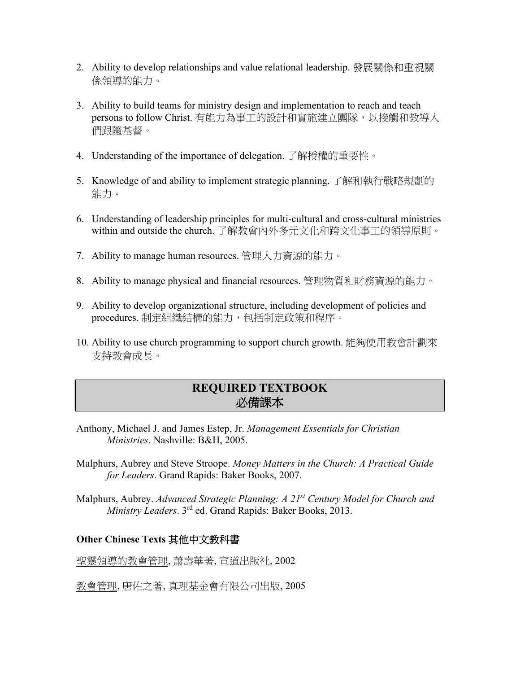- 2. Ability to develop relationships and value relational leadership. 發展關係和重視關 係領導的能力。
- 3. Ability to build teams for ministry design and implementation to reach and teach persons to follow Christ. 有能力為事工的設計和實施建立團隊,以接觸和教導人 們跟隨基督。
- 4. Understanding of the importance of delegation. 了解授權的重要性。
- 5. Knowledge of and ability to implement strategic planning. 了解和執行戰略規劃的 能力。
- 6. Understanding of leadership principles for multi-cultural and cross-cultural ministries within and outside the church. 了解教會內外多元文化和跨文化事工的領導原則。
- 7. Ability to manage human resources. 管理人力資源的能力。
- 8. Ability to manage physical and financial resources. 管理物質和財務資源的能力。
- 9. Ability to develop organizational structure, including development of policies and procedures. 制定組織結構的能力, 包括制定政策和程序。
- 10. Ability to use church programming to support church growth. 能夠使用教會計劃來 支持教會成長。

# **REQUIRED TEXTBOOK**  必備課本

- Anthony, Michael J. and James Estep, Jr. *Management Essentials for Christian Ministries*. Nashville: B&H, 2005.
- Malphurs, Aubrey and Steve Stroope. *Money Matters in the Church: A Practical Guide for Leaders*. Grand Rapids: Baker Books, 2007.
- Malphurs, Aubrey. *Advanced Strategic Planning: A 21st Century Model for Church and Ministry Leaders*. 3rd ed. Grand Rapids: Baker Books, 2013.

## **Other Chinese Texts** 其他中文教科書

聖靈領導的教會管理, 䔥壽華著, 宣道出版社, 2002

教會管理, 唐佑之著, 真理基金會有限公司出版, 2005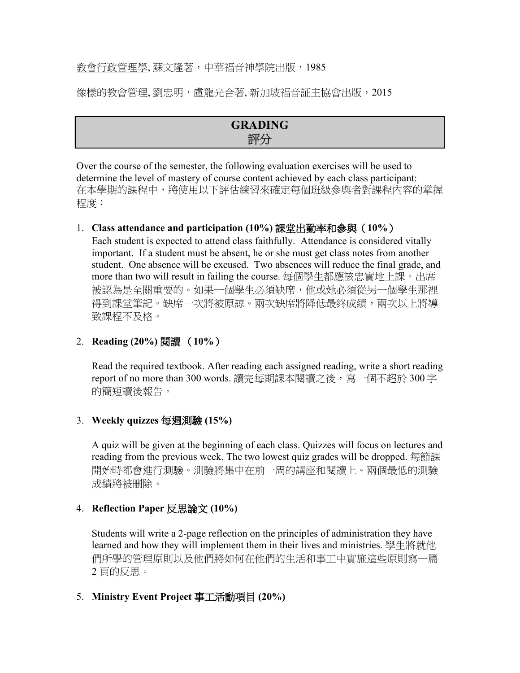## 教會行政管理學, 蘇文隆著,中華福音神學院出版,1985

像樣的教會管理, 劉忠明, 盧龍光合著, 新加坡福音証主協會出版, 2015

| GRADING |  |
|---------|--|
| 評分      |  |

Over the course of the semester, the following evaluation exercises will be used to determine the level of mastery of course content achieved by each class participant: 在本學期的課程中,將使用以下評估練習來確定每個班級參與者對課程內容的掌握 程度:

## 1. **Class attendance and participation (10%)** 課堂出勤率和參與(**10%**)

Each student is expected to attend class faithfully. Attendance is considered vitally important. If a student must be absent, he or she must get class notes from another student. One absence will be excused. Two absences will reduce the final grade, and more than two will result in failing the course. 每個學生都應該忠實地上課。出席 被認為是至關重要的。如果一個學生必須缺席,他或她必須從另一個學生那裡 得到課堂筆記。缺席一次將被原諒。兩次缺席將降低最終成績,兩次以上將導 致課程不及格。

## 2. **Reading (20%)** 閱讀 (**10%**)

Read the required textbook. After reading each assigned reading, write a short reading report of no more than 300 words. 讀完每期課本閱讀之後,寫一個不超於 300 字 的簡短讀後報告。

### 3. **Weekly quizzes** 每週測驗 **(15%)**

A quiz will be given at the beginning of each class. Quizzes will focus on lectures and reading from the previous week. The two lowest quiz grades will be dropped. 每節課 開始時都會進行測驗。測驗將集中在前一周的講座和閱讀上。兩個最低的測驗 成績將被刪除。

### 4. **Reflection Paper** 反思論文 **(10%)**

Students will write a 2-page reflection on the principles of administration they have learned and how they will implement them in their lives and ministries. 學生將就他 們所學的管理原則以及他們將如何在他們的生活和事工中實施這些原則寫一篇 2 頁的反思。

### 5. **Ministry Event Project** 事工活動項目 **(20%)**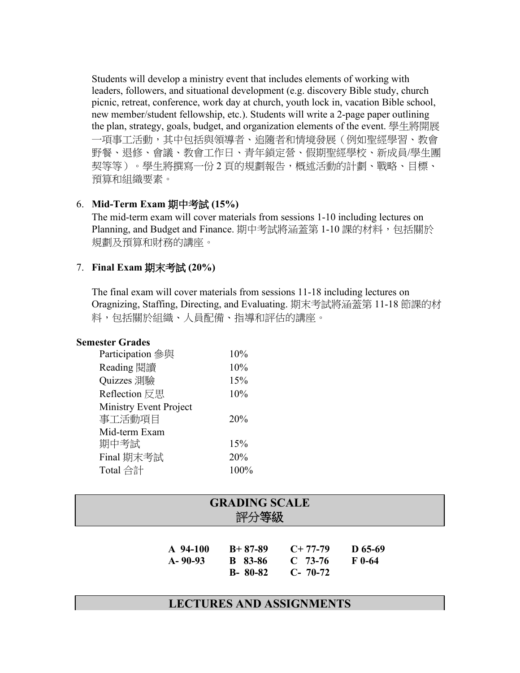Students will develop a ministry event that includes elements of working with leaders, followers, and situational development (e.g. discovery Bible study, church picnic, retreat, conference, work day at church, youth lock in, vacation Bible school, new member/student fellowship, etc.). Students will write a 2-page paper outlining the plan, strategy, goals, budget, and organization elements of the event. 學生將開展 一項事工活動,其中包括與領導者、追隨者和情境發展(例如聖經學習、教會 野餐、退修、會議、教會工作日、青年鎖定營、假期聖經學校、新成員/學生團 契等等)。學生將撰寫一份 2 頁的規劃報告,概述活動的計劃、戰略、目標、 預算和組織要素。

## 6. **Mid-Term Exam** 期中考試 **(15%)**

The mid-term exam will cover materials from sessions 1-10 including lectures on Planning, and Budget and Finance. 期中考試將涵蓋第 1-10 課的材料,包括關於 規劃及預算和財務的講座。

## 7. **Final Exam** 期末考試 **(20%)**

The final exam will cover materials from sessions 11-18 including lectures on Oragnizing, Staffing, Directing, and Evaluating. 期末考試將涵蓋第 11-18 節課的材 料,包括關於組織、人員配備、指導和評估的講座。

#### **Semester Grades**

| Participation 參與              | 10%  |
|-------------------------------|------|
| Reading 閱讀                    | 10%  |
| Quizzes 測驗                    | 15%  |
| Reflection 反思                 | 10%  |
| <b>Ministry Event Project</b> |      |
| 事工活動項目                        | 20%  |
| Mid-term Exam                 |      |
| 期中考試                          | 15%  |
| Final 期末考試                    | 20%  |
| Total 合計                      | 100% |

| <b>GRADING SCALE</b><br>評分等級 |                                              |                                     |                       |  |
|------------------------------|----------------------------------------------|-------------------------------------|-----------------------|--|
| $A$ 94-100<br>$A - 90 - 93$  | $B+87-89$<br><b>B</b> 83-86<br>$B - 80 - 82$ | $C+77-79$<br>$C$ 73-76<br>$C-70-72$ | $D$ 65-69<br>$F$ 0-64 |  |

## **LECTURES AND ASSIGNMENTS**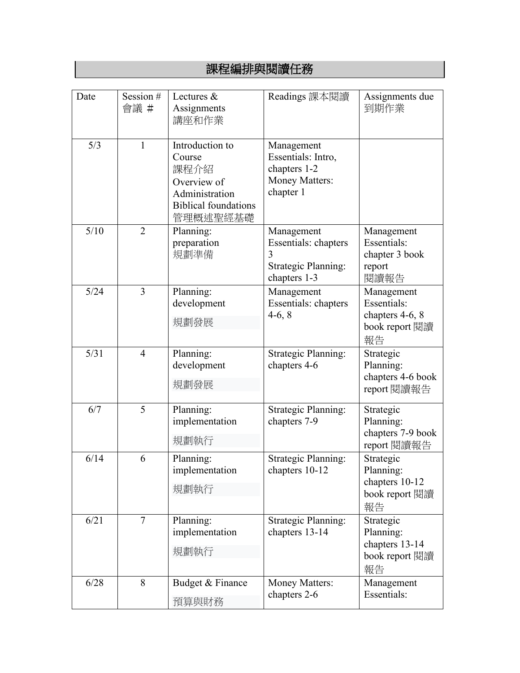|      |                     | <b>ᄥᅶᆡᅩ"ᅏᆙᄡᆟᄼᆝᆺᄾᆝᄱᄡᆇᆡᅩ</b> ᄭ                                                                                  |                                                                                        |                                                                      |
|------|---------------------|---------------------------------------------------------------------------------------------------------------|----------------------------------------------------------------------------------------|----------------------------------------------------------------------|
|      |                     |                                                                                                               |                                                                                        |                                                                      |
| Date | Session $#$<br>會議 # | Lectures &<br>Assignments<br>講座和作業                                                                            | Readings 課本閱讀                                                                          | Assignments due<br>到期作業                                              |
| 5/3  | $\mathbf{1}$        | Introduction to<br>Course<br>課程介紹<br>Overview of<br>Administration<br><b>Biblical foundations</b><br>管理概述聖經基礎 | Management<br>Essentials: Intro,<br>chapters 1-2<br><b>Money Matters:</b><br>chapter 1 |                                                                      |
| 5/10 | $\overline{2}$      | Planning:<br>preparation<br>規劃準備                                                                              | Management<br>Essentials: chapters<br>3<br><b>Strategic Planning:</b><br>chapters 1-3  | Management<br>Essentials:<br>chapter 3 book<br>report<br>閱讀報告        |
| 5/24 | 3                   | Planning:<br>development<br>規劃發展                                                                              | Management<br><b>Essentials: chapters</b><br>$4-6, 8$                                  | Management<br>Essentials:<br>chapters 4-6, 8<br>book report 閱讀<br>報告 |
| 5/31 | $\overline{4}$      | Planning:<br>development<br>規劃發展                                                                              | <b>Strategic Planning:</b><br>chapters 4-6                                             | Strategic<br>Planning:<br>chapters 4-6 book<br>report 閱讀報告           |
| 6/7  | 5                   | Planning:<br>implementation<br>規劃執行                                                                           | <b>Strategic Planning:</b><br>chapters 7-9                                             | Strategic<br>Planning:<br>chapters 7-9 book<br>report 閱讀報告           |
| 6/14 | 6                   | Planning:<br>implementation<br>規劃執行                                                                           | <b>Strategic Planning:</b><br>chapters 10-12                                           | Strategic<br>Planning:<br>chapters 10-12<br>book report 閱讀<br>報告     |
| 6/21 | $\overline{7}$      | Planning:<br>implementation<br>規劃執行                                                                           | <b>Strategic Planning:</b><br>chapters 13-14                                           | Strategic<br>Planning:<br>chapters 13-14<br>book report 閱讀<br>報告     |
| 6/28 | 8                   | Budget & Finance<br>預算與財務                                                                                     | <b>Money Matters:</b><br>chapters 2-6                                                  | Management<br>Essentials:                                            |

課程編排與閱讀任務

 $\overline{\phantom{a}}$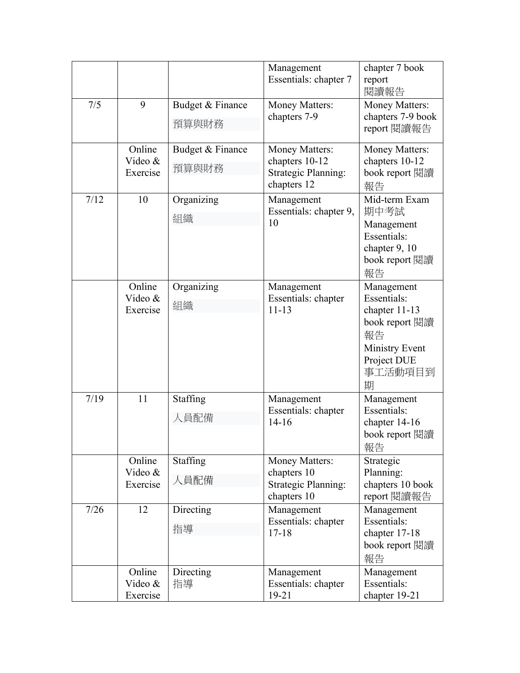|      |                               |                           | Management<br>Essentials: chapter 7                                               | chapter 7 book<br>report<br>閱讀報告                                                                                                    |
|------|-------------------------------|---------------------------|-----------------------------------------------------------------------------------|-------------------------------------------------------------------------------------------------------------------------------------|
| 7/5  | 9                             | Budget & Finance<br>預算與財務 | <b>Money Matters:</b><br>chapters 7-9                                             | <b>Money Matters:</b><br>chapters 7-9 book<br>report 閱讀報告                                                                           |
|      | Online<br>Video &<br>Exercise | Budget & Finance<br>預算與財務 | Money Matters:<br>chapters 10-12<br><b>Strategic Planning:</b><br>chapters 12     | Money Matters:<br>chapters 10-12<br>book report 閱讀<br>報告                                                                            |
| 7/12 | 10                            | Organizing<br>組織          | Management<br>Essentials: chapter 9,<br>10                                        | Mid-term Exam<br>期中考試<br>Management<br><b>Essentials:</b><br>chapter 9, 10<br>book report 閱讀<br>報告                                  |
|      | Online<br>Video &<br>Exercise | Organizing<br>組織          | Management<br>Essentials: chapter<br>$11 - 13$                                    | Management<br><b>Essentials:</b><br>chapter $11-13$<br>book report 閱讀<br>報告<br><b>Ministry Event</b><br>Project DUE<br>事工活動項目到<br>期 |
| 7/19 | 11                            | Staffing<br>人員配備          | Management<br>Essentials: chapter<br>$14 - 16$                                    | Management<br>Essentials:<br>chapter 14-16<br>book report 閱讀<br>報告                                                                  |
|      | Online<br>Video &<br>Exercise | Staffing<br>人員配備          | <b>Money Matters:</b><br>chapters 10<br><b>Strategic Planning:</b><br>chapters 10 | Strategic<br>Planning:<br>chapters 10 book<br>report 閱讀報告                                                                           |
| 7/26 | 12                            | Directing<br>指導           | Management<br>Essentials: chapter<br>$17 - 18$                                    | Management<br>Essentials:<br>chapter 17-18<br>book report 閱讀<br>報告                                                                  |
|      | Online<br>Video &<br>Exercise | Directing<br>指導           | Management<br>Essentials: chapter<br>19-21                                        | Management<br>Essentials:<br>chapter 19-21                                                                                          |